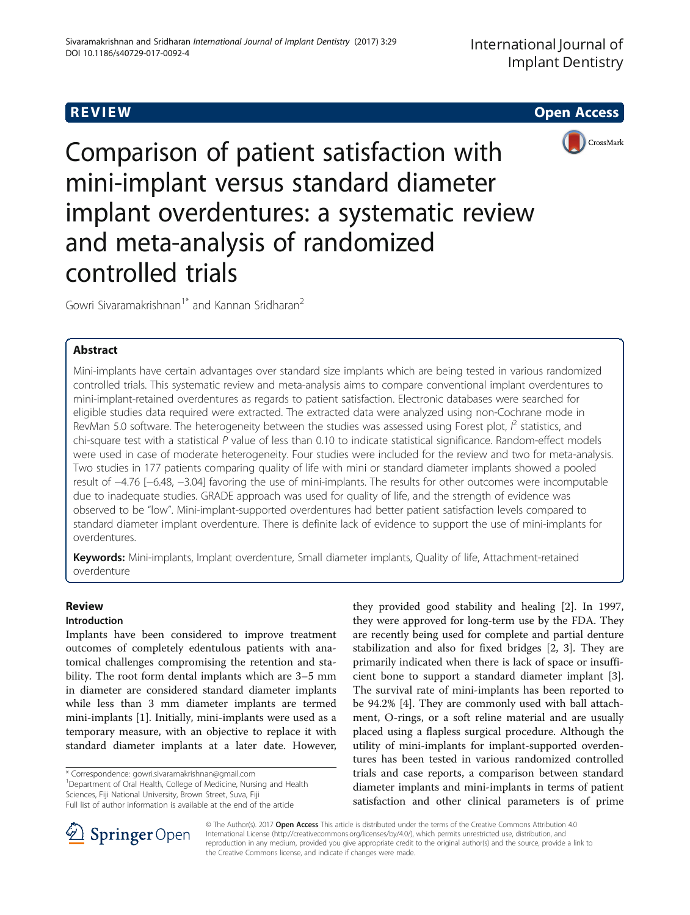**REVIEW CONSTRUCTION CONSTRUCTION CONSTRUCTS** 



Comparison of patient satisfaction with mini-implant versus standard diameter implant overdentures: a systematic review and meta-analysis of randomized controlled trials

Gowri Siyaramakrishnan<sup>1\*</sup> and Kannan Sridharan<sup>2</sup>

# Abstract

Mini-implants have certain advantages over standard size implants which are being tested in various randomized controlled trials. This systematic review and meta-analysis aims to compare conventional implant overdentures to mini-implant-retained overdentures as regards to patient satisfaction. Electronic databases were searched for eligible studies data required were extracted. The extracted data were analyzed using non-Cochrane mode in RevMan 5.0 software. The heterogeneity between the studies was assessed using Forest plot,  $l^2$  statistics, and chi-square test with a statistical P value of less than 0.10 to indicate statistical significance. Random-effect models were used in case of moderate heterogeneity. Four studies were included for the review and two for meta-analysis. Two studies in 177 patients comparing quality of life with mini or standard diameter implants showed a pooled result of −4.76 [−6.48, −3.04] favoring the use of mini-implants. The results for other outcomes were incomputable due to inadequate studies. GRADE approach was used for quality of life, and the strength of evidence was observed to be "low". Mini-implant-supported overdentures had better patient satisfaction levels compared to standard diameter implant overdenture. There is definite lack of evidence to support the use of mini-implants for overdentures.

Keywords: Mini-implants, Implant overdenture, Small diameter implants, Quality of life, Attachment-retained overdenture

# Review

# Introduction

Implants have been considered to improve treatment outcomes of completely edentulous patients with anatomical challenges compromising the retention and stability. The root form dental implants which are 3–5 mm in diameter are considered standard diameter implants while less than 3 mm diameter implants are termed mini-implants [[1\]](#page-5-0). Initially, mini-implants were used as a temporary measure, with an objective to replace it with standard diameter implants at a later date. However,

\* Correspondence: [gowri.sivaramakrishnan@gmail.com](mailto:gowri.sivaramakrishnan@gmail.com) <sup>1</sup>

Department of Oral Health, College of Medicine, Nursing and Health Sciences, Fiji National University, Brown Street, Suva, Fiji

Full list of author information is available at the end of the article





© The Author(s). 2017 **Open Access** This article is distributed under the terms of the Creative Commons Attribution 4.0 International License ([http://creativecommons.org/licenses/by/4.0/\)](http://creativecommons.org/licenses/by/4.0/), which permits unrestricted use, distribution, and reproduction in any medium, provided you give appropriate credit to the original author(s) and the source, provide a link to the Creative Commons license, and indicate if changes were made.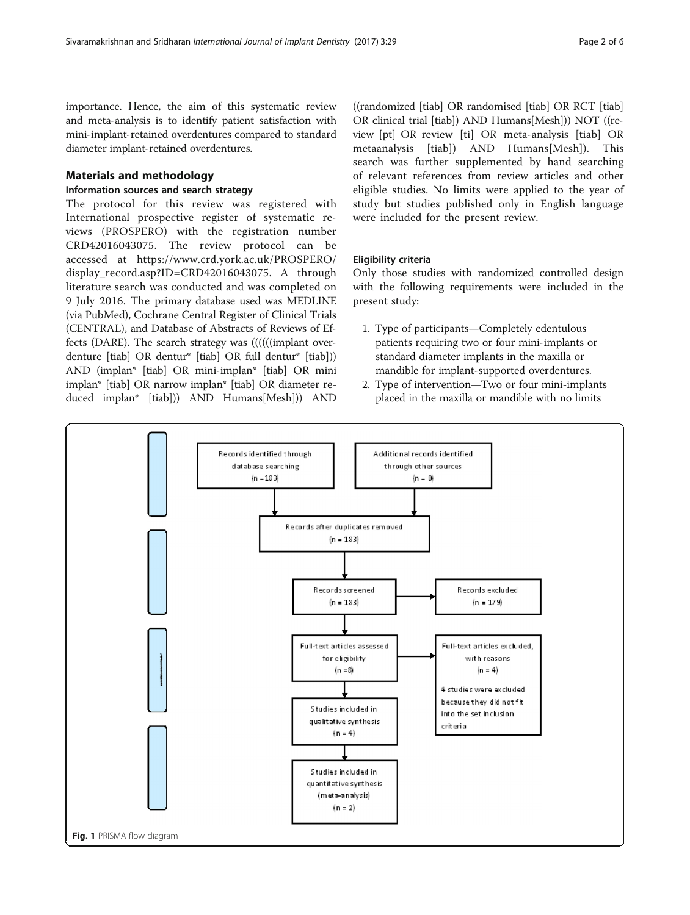<span id="page-1-0"></span>importance. Hence, the aim of this systematic review and meta-analysis is to identify patient satisfaction with mini-implant-retained overdentures compared to standard diameter implant-retained overdentures.

## Materials and methodology

# Information sources and search strategy

The protocol for this review was registered with International prospective register of systematic reviews (PROSPERO) with the registration number CRD42016043075. The review protocol can be accessed at [https://www.crd.york.ac.uk/PROSPERO/](https://www.crd.york.ac.uk/PROSPERO/display_record.asp?ID=CRD42016043075) [display\\_record.asp?ID=CRD42016043075](https://www.crd.york.ac.uk/PROSPERO/display_record.asp?ID=CRD42016043075). A through literature search was conducted and was completed on 9 July 2016. The primary database used was MEDLINE (via PubMed), Cochrane Central Register of Clinical Trials (CENTRAL), and Database of Abstracts of Reviews of Effects (DARE). The search strategy was ((((((implant overdenture [tiab] OR dentur\* [tiab] OR full dentur\* [tiab])) AND (implan\* [tiab] OR mini-implan\* [tiab] OR mini implan\* [tiab] OR narrow implan\* [tiab] OR diameter reduced implan\* [tiab])) AND Humans[Mesh])) AND

((randomized [tiab] OR randomised [tiab] OR RCT [tiab] OR clinical trial [tiab]) AND Humans[Mesh])) NOT ((review [pt] OR review [ti] OR meta-analysis [tiab] OR metaanalysis [tiab]) AND Humans[Mesh]). This search was further supplemented by hand searching of relevant references from review articles and other eligible studies. No limits were applied to the year of study but studies published only in English language were included for the present review.

## Eligibility criteria

Only those studies with randomized controlled design with the following requirements were included in the present study:

- 1. Type of participants—Completely edentulous patients requiring two or four mini-implants or standard diameter implants in the maxilla or mandible for implant-supported overdentures.
- 2. Type of intervention—Two or four mini-implants placed in the maxilla or mandible with no limits

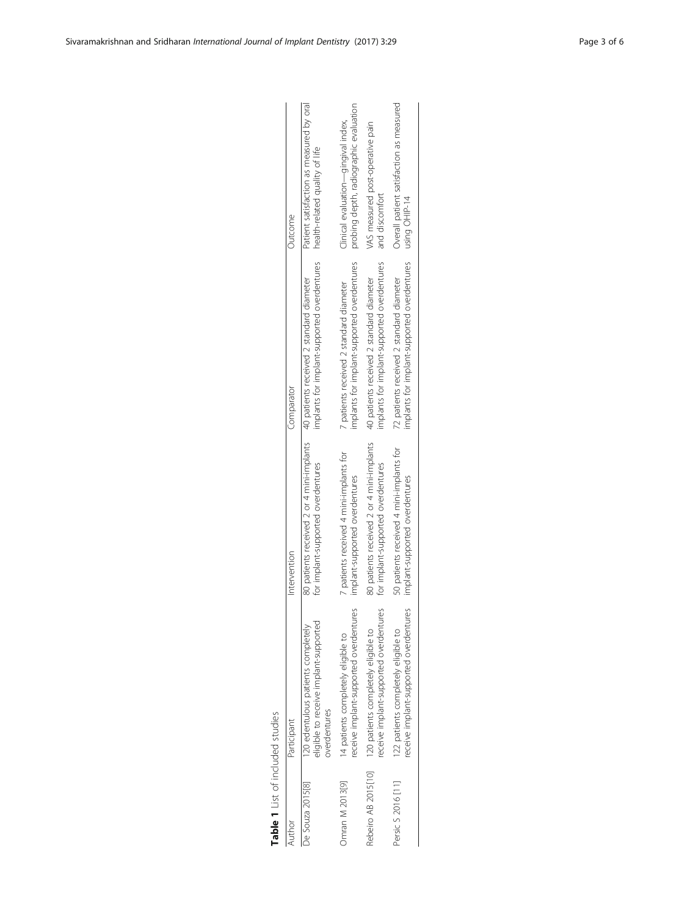<span id="page-2-0"></span>

| Author              | Participant                                                                                 | Intervention                                                                                                          | Comparator                                  | Outcome                                                                    |
|---------------------|---------------------------------------------------------------------------------------------|-----------------------------------------------------------------------------------------------------------------------|---------------------------------------------|----------------------------------------------------------------------------|
| De Souza 2015[8]    | eligible to receive implant-supported<br>120 edentulous patients completely<br>overdentures | 80 patients received 2 or 4 mini-implants at lents received 2 standard diameter<br>for implant-supported overdentures | implants for implant-supported overdentures | Patient satisfaction as measured by oral<br>health-related quality of life |
| Omran M 2013[9]     | eceive implant-supported overdentures                                                       | 7 patients received 4 mini-implants for                                                                               | implants for implant-supported overdentures | probing depth, radiographic evaluation                                     |
|                     | 4 patients completely eligible to                                                           | implant-supported overdentures                                                                                        | 7 patients received 2 standard diameter     | Clinical evaluation—gingival index,                                        |
| Rebeiro AB 2015[10] | receive implant-supported overdentures                                                      | 80 patients received 2 or 4 mini-implants                                                                             | implants for implant-supported overdentures | VAS measured post-operative pain                                           |
|                     | 120 patients completely eligible to                                                         | for implant-supported overdentures                                                                                    | 40 patients received 2 standard diameter    | and discomfort                                                             |
| Persic S 2016 [11]  | eceive implant-supported overdentures                                                       | 50 patients received 4 mini-implants for                                                                              | implants for implant-supported overdentures | Overall patient satisfaction as measured                                   |
|                     | 122 patients completely eligible to                                                         | implant-supported overdentures                                                                                        | 72 patients received 2 standard diameter    | using OHIP-14                                                              |
|                     |                                                                                             |                                                                                                                       |                                             |                                                                            |

Table 1 List of included studies Table 1 List of included studies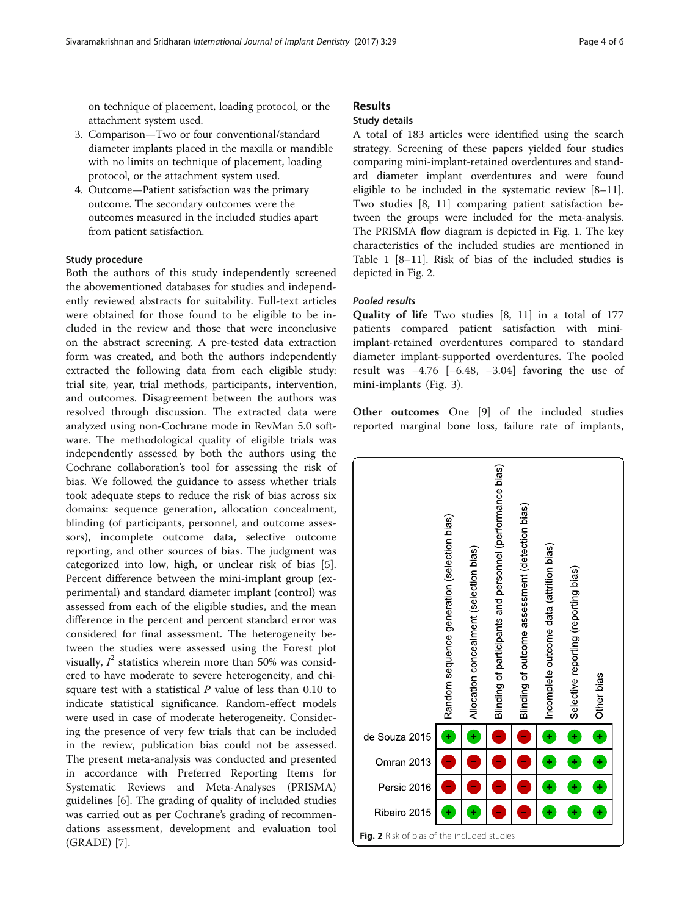on technique of placement, loading protocol, or the attachment system used.

- 3. Comparison—Two or four conventional/standard diameter implants placed in the maxilla or mandible with no limits on technique of placement, loading protocol, or the attachment system used.
- 4. Outcome—Patient satisfaction was the primary outcome. The secondary outcomes were the outcomes measured in the included studies apart from patient satisfaction.

## Study procedure

Both the authors of this study independently screened the abovementioned databases for studies and independently reviewed abstracts for suitability. Full-text articles were obtained for those found to be eligible to be included in the review and those that were inconclusive on the abstract screening. A pre-tested data extraction form was created, and both the authors independently extracted the following data from each eligible study: trial site, year, trial methods, participants, intervention, and outcomes. Disagreement between the authors was resolved through discussion. The extracted data were analyzed using non-Cochrane mode in RevMan 5.0 software. The methodological quality of eligible trials was independently assessed by both the authors using the Cochrane collaboration's tool for assessing the risk of bias. We followed the guidance to assess whether trials took adequate steps to reduce the risk of bias across six domains: sequence generation, allocation concealment, blinding (of participants, personnel, and outcome assessors), incomplete outcome data, selective outcome reporting, and other sources of bias. The judgment was categorized into low, high, or unclear risk of bias [\[5](#page-5-0)]. Percent difference between the mini-implant group (experimental) and standard diameter implant (control) was assessed from each of the eligible studies, and the mean difference in the percent and percent standard error was considered for final assessment. The heterogeneity between the studies were assessed using the Forest plot visually,  $I^2$  statistics wherein more than 50% was considered to have moderate to severe heterogeneity, and chisquare test with a statistical  $P$  value of less than 0.10 to indicate statistical significance. Random-effect models were used in case of moderate heterogeneity. Considering the presence of very few trials that can be included in the review, publication bias could not be assessed. The present meta-analysis was conducted and presented in accordance with Preferred Reporting Items for Systematic Reviews and Meta-Analyses (PRISMA) guidelines [\[6\]](#page-5-0). The grading of quality of included studies was carried out as per Cochrane's grading of recommendations assessment, development and evaluation tool (GRADE) [\[7](#page-5-0)].

# Results

## Study details

A total of 183 articles were identified using the search strategy. Screening of these papers yielded four studies comparing mini-implant-retained overdentures and standard diameter implant overdentures and were found eligible to be included in the systematic review [\[8](#page-5-0)–[11](#page-5-0)]. Two studies [\[8](#page-5-0), [11](#page-5-0)] comparing patient satisfaction between the groups were included for the meta-analysis. The PRISMA flow diagram is depicted in Fig. [1](#page-1-0). The key characteristics of the included studies are mentioned in Table [1](#page-2-0) [\[8](#page-5-0)–[11](#page-5-0)]. Risk of bias of the included studies is depicted in Fig. 2.

## Pooled results

Quality of life Two studies [[8, 11\]](#page-5-0) in a total of 177 patients compared patient satisfaction with miniimplant-retained overdentures compared to standard diameter implant-supported overdentures. The pooled result was −4.76 [−6.48, −3.04] favoring the use of mini-implants (Fig. [3\)](#page-4-0).

Other outcomes One [[9\]](#page-5-0) of the included studies reported marginal bone loss, failure rate of implants,

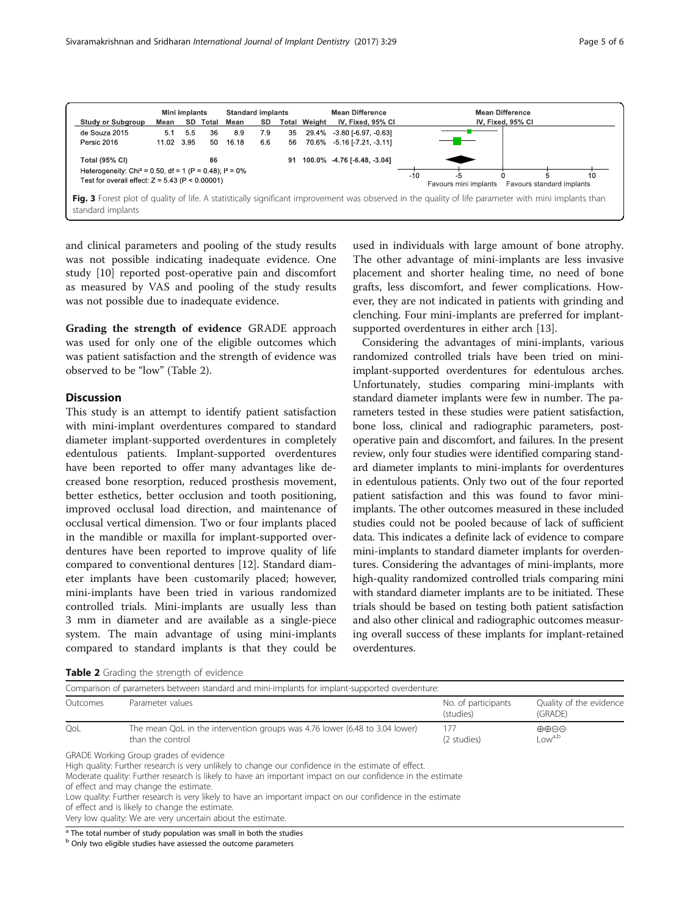<span id="page-4-0"></span>

and clinical parameters and pooling of the study results was not possible indicating inadequate evidence. One study [\[10\]](#page-5-0) reported post-operative pain and discomfort as measured by VAS and pooling of the study results was not possible due to inadequate evidence.

Grading the strength of evidence GRADE approach was used for only one of the eligible outcomes which was patient satisfaction and the strength of evidence was observed to be "low" (Table 2).

## **Discussion**

This study is an attempt to identify patient satisfaction with mini-implant overdentures compared to standard diameter implant-supported overdentures in completely edentulous patients. Implant-supported overdentures have been reported to offer many advantages like decreased bone resorption, reduced prosthesis movement, better esthetics, better occlusion and tooth positioning, improved occlusal load direction, and maintenance of occlusal vertical dimension. Two or four implants placed in the mandible or maxilla for implant-supported overdentures have been reported to improve quality of life compared to conventional dentures [[12\]](#page-5-0). Standard diameter implants have been customarily placed; however, mini-implants have been tried in various randomized controlled trials. Mini-implants are usually less than 3 mm in diameter and are available as a single-piece system. The main advantage of using mini-implants compared to standard implants is that they could be used in individuals with large amount of bone atrophy. The other advantage of mini-implants are less invasive placement and shorter healing time, no need of bone grafts, less discomfort, and fewer complications. However, they are not indicated in patients with grinding and clenching. Four mini-implants are preferred for implantsupported overdentures in either arch [\[13\]](#page-5-0).

Considering the advantages of mini-implants, various randomized controlled trials have been tried on miniimplant-supported overdentures for edentulous arches. Unfortunately, studies comparing mini-implants with standard diameter implants were few in number. The parameters tested in these studies were patient satisfaction, bone loss, clinical and radiographic parameters, postoperative pain and discomfort, and failures. In the present review, only four studies were identified comparing standard diameter implants to mini-implants for overdentures in edentulous patients. Only two out of the four reported patient satisfaction and this was found to favor miniimplants. The other outcomes measured in these included studies could not be pooled because of lack of sufficient data. This indicates a definite lack of evidence to compare mini-implants to standard diameter implants for overdentures. Considering the advantages of mini-implants, more high-quality randomized controlled trials comparing mini with standard diameter implants are to be initiated. These trials should be based on testing both patient satisfaction and also other clinical and radiographic outcomes measuring overall success of these implants for implant-retained overdentures.

|  |  |  |  |  | Table 2 Grading the strength of evidence |
|--|--|--|--|--|------------------------------------------|
|--|--|--|--|--|------------------------------------------|

|          | Comparison of parameters between standard and mini-implants for implant-supported overdenture:                                                                                                                                                                                                                                                                                                                                                                                                                                               |                                  |                                                       |
|----------|----------------------------------------------------------------------------------------------------------------------------------------------------------------------------------------------------------------------------------------------------------------------------------------------------------------------------------------------------------------------------------------------------------------------------------------------------------------------------------------------------------------------------------------------|----------------------------------|-------------------------------------------------------|
| Outcomes | Parameter values                                                                                                                                                                                                                                                                                                                                                                                                                                                                                                                             | No. of participants<br>(studies) | Quality of the evidence<br>(GRADE)                    |
| OoL      | The mean QoL in the intervention groups was 4.76 lower (6.48 to 3.04 lower)<br>than the control                                                                                                                                                                                                                                                                                                                                                                                                                                              | 177<br>(2 studies)               | $\oplus \oplus \ominus \ominus$<br>low <sup>a,b</sup> |
|          | <b>GRADE Working Group grades of evidence</b><br>High quality: Further research is very unlikely to change our confidence in the estimate of effect.<br>Moderate quality: Further research is likely to have an important impact on our confidence in the estimate<br>of effect and may change the estimate.<br>Low quality: Further research is very likely to have an important impact on our confidence in the estimate<br>of effect and is likely to change the estimate.<br>Very low quality: We are very uncertain about the estimate. |                                  |                                                       |
|          | <sup>a</sup> The total number of study population was small in both the studies                                                                                                                                                                                                                                                                                                                                                                                                                                                              |                                  |                                                       |

b Only two eligible studies have assessed the outcome parameters